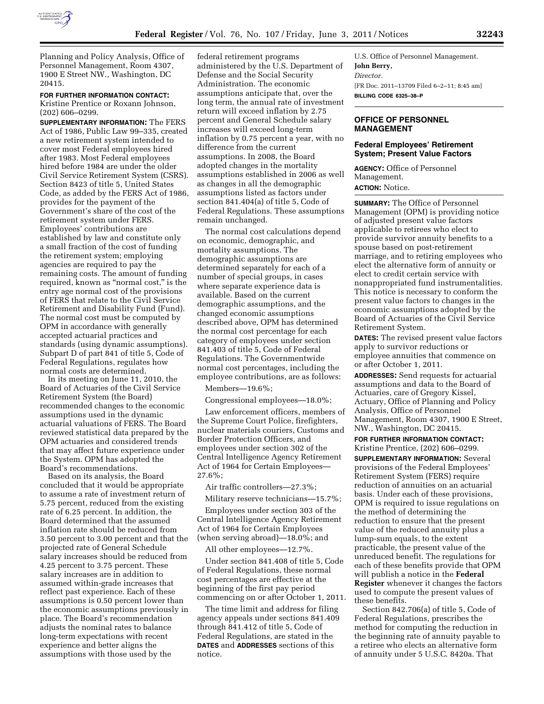

Planning and Policy Analysis, Office of Personnel Management, Room 4307, 1900 E Street NW., Washington, DC 20415.

**FOR FURTHER INFORMATION CONTACT:**  Kristine Prentice or Roxann Johnson, (202) 606–0299.

**SUPPLEMENTARY INFORMATION:** The FERS Act of 1986, Public Law 99–335, created a new retirement system intended to cover most Federal employees hired after 1983. Most Federal employees hired before 1984 are under the older Civil Service Retirement System (CSRS). Section 8423 of title 5, United States Code, as added by the FERS Act of 1986, provides for the payment of the Government's share of the cost of the retirement system under FERS. Employees' contributions are established by law and constitute only a small fraction of the cost of funding the retirement system; employing agencies are required to pay the remaining costs. The amount of funding required, known as "normal cost," is the entry age normal cost of the provisions of FERS that relate to the Civil Service Retirement and Disability Fund (Fund). The normal cost must be computed by OPM in accordance with generally accepted actuarial practices and standards (using dynamic assumptions). Subpart D of part 841 of title 5, Code of Federal Regulations, regulates how normal costs are determined.

In its meeting on June 11, 2010, the Board of Actuaries of the Civil Service Retirement System (the Board) recommended changes to the economic assumptions used in the dynamic actuarial valuations of FERS. The Board reviewed statistical data prepared by the OPM actuaries and considered trends that may affect future experience under the System. OPM has adopted the Board's recommendations.

Based on its analysis, the Board concluded that it would be appropriate to assume a rate of investment return of 5.75 percent, reduced from the existing rate of 6.25 percent. In addition, the Board determined that the assumed inflation rate should be reduced from 3.50 percent to 3.00 percent and that the projected rate of General Schedule salary increases should be reduced from 4.25 percent to 3.75 percent. These salary increases are in addition to assumed within-grade increases that reflect past experience. Each of these assumptions is 0.50 percent lower than the economic assumptions previously in place. The Board's recommendation adjusts the nominal rates to balance long-term expectations with recent experience and better aligns the assumptions with those used by the

federal retirement programs administered by the U.S. Department of Defense and the Social Security Administration. The economic assumptions anticipate that, over the long term, the annual rate of investment return will exceed inflation by 2.75 percent and General Schedule salary increases will exceed long-term inflation by 0.75 percent a year, with no difference from the current assumptions. In 2008, the Board adopted changes in the mortality assumptions established in 2006 as well as changes in all the demographic assumptions listed as factors under section 841.404(a) of title 5, Code of Federal Regulations. These assumptions remain unchanged.

The normal cost calculations depend on economic, demographic, and mortality assumptions. The demographic assumptions are determined separately for each of a number of special groups, in cases where separate experience data is available. Based on the current demographic assumptions, and the changed economic assumptions described above, OPM has determined the normal cost percentage for each category of employees under section 841.403 of title 5, Code of Federal Regulations. The Governmentwide normal cost percentages, including the employee contributions, are as follows:

Members—19.6%;

Congressional employees—18.0%;

Law enforcement officers, members of the Supreme Court Police, firefighters, nuclear materials couriers, Customs and Border Protection Officers, and employees under section 302 of the Central Intelligence Agency Retirement Act of 1964 for Certain Employees— 27.6%;

Air traffic controllers—27.3%;

Military reserve technicians—15.7%;

Employees under section 303 of the Central Intelligence Agency Retirement Act of 1964 for Certain Employees (when serving abroad)—18.0%; and

All other employees—12.7%.

Under section 841.408 of title 5, Code of Federal Regulations, these normal cost percentages are effective at the beginning of the first pay period commencing on or after October 1, 2011.

The time limit and address for filing agency appeals under sections 841.409 through 841.412 of title 5, Code of Federal Regulations, are stated in the **DATES** and **ADDRESSES** sections of this notice.

U.S. Office of Personnel Management. **John Berry,**  *Director.*  [FR Doc. 2011–13709 Filed 6–2–11; 8:45 am] **BILLING CODE 6325–38–P** 

# **OFFICE OF PERSONNEL MANAGEMENT**

## **Federal Employees' Retirement System; Present Value Factors**

**AGENCY:** Office of Personnel Management. **ACTION:** Notice.

**SUMMARY:** The Office of Personnel Management (OPM) is providing notice of adjusted present value factors applicable to retirees who elect to provide survivor annuity benefits to a spouse based on post-retirement marriage, and to retiring employees who elect the alternative form of annuity or elect to credit certain service with nonappropriated fund instrumentalities. This notice is necessary to conform the present value factors to changes in the economic assumptions adopted by the Board of Actuaries of the Civil Service Retirement System.

**DATES:** The revised present value factors apply to survivor reductions or employee annuities that commence on or after October 1, 2011.

**ADDRESSES:** Send requests for actuarial assumptions and data to the Board of Actuaries, care of Gregory Kissel, Actuary, Office of Planning and Policy Analysis, Office of Personnel Management, Room 4307, 1900 E Street, NW., Washington, DC 20415.

**FOR FURTHER INFORMATION CONTACT:**  Kristine Prentice, (202) 606–0299.

**SUPPLEMENTARY INFORMATION:** Several provisions of the Federal Employees' Retirement System (FERS) require reduction of annuities on an actuarial basis. Under each of these provisions, OPM is required to issue regulations on the method of determining the reduction to ensure that the present value of the reduced annuity plus a lump-sum equals, to the extent practicable, the present value of the unreduced benefit. The regulations for each of these benefits provide that OPM will publish a notice in the **Federal Register** whenever it changes the factors used to compute the present values of these benefits.

Section 842.706(a) of title 5, Code of Federal Regulations, prescribes the method for computing the reduction in the beginning rate of annuity payable to a retiree who elects an alternative form of annuity under 5 U.S.C. 8420a. That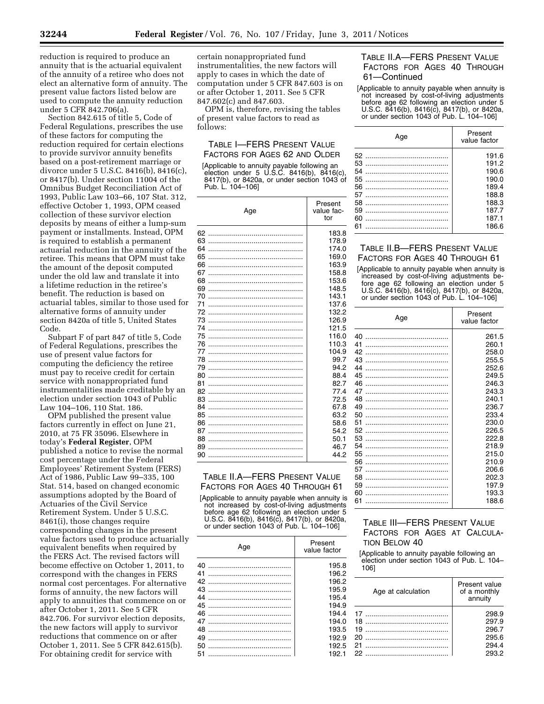reduction is required to produce an annuity that is the actuarial equivalent of the annuity of a retiree who does not elect an alternative form of annuity. The present value factors listed below are used to compute the annuity reduction under 5 CFR 842.706(a).

Section 842.615 of title 5, Code of Federal Regulations, prescribes the use of these factors for computing the reduction required for certain elections to provide survivor annuity benefits based on a post-retirement marriage or divorce under 5 U.S.C. 8416(b), 8416(c), or 8417(b). Under section 11004 of the Omnibus Budget Reconciliation Act of 1993, Public Law 103–66, 107 Stat. 312, effective October 1, 1993, OPM ceased collection of these survivor election deposits by means of either a lump-sum payment or installments. Instead, OPM is required to establish a permanent actuarial reduction in the annuity of the retiree. This means that OPM must take the amount of the deposit computed under the old law and translate it into a lifetime reduction in the retiree's benefit. The reduction is based on actuarial tables, similar to those used for alternative forms of annuity under section 8420a of title 5, United States Code.

Subpart F of part 847 of title 5, Code of Federal Regulations, prescribes the use of present value factors for computing the deficiency the retiree must pay to receive credit for certain service with nonappropriated fund instrumentalities made creditable by an election under section 1043 of Public Law 104–106, 110 Stat. 186.

OPM published the present value factors currently in effect on June 21, 2010, at 75 FR 35096. Elsewhere in today's **Federal Register**, OPM published a notice to revise the normal cost percentage under the Federal Employees' Retirement System (FERS) Act of 1986, Public Law 99–335, 100 Stat. 514, based on changed economic assumptions adopted by the Board of Actuaries of the Civil Service Retirement System. Under 5 U.S.C. 8461(i), those changes require corresponding changes in the present value factors used to produce actuarially equivalent benefits when required by the FERS Act. The revised factors will become effective on October 1, 2011, to correspond with the changes in FERS normal cost percentages. For alternative forms of annuity, the new factors will apply to annuities that commence on or after October 1, 2011. See 5 CFR 842.706. For survivor election deposits, the new factors will apply to survivor reductions that commence on or after October 1, 2011. See 5 CFR 842.615(b). For obtaining credit for service with

certain nonappropriated fund instrumentalities, the new factors will apply to cases in which the date of computation under 5 CFR 847.603 is on or after October 1, 2011. See 5 CFR 847.602(c) and 847.603.

OPM is, therefore, revising the tables of present value factors to read as follows:

## TABLE I—FERS PRESENT VALUE FACTORS FOR AGES 62 AND OLDER

[Applicable to annuity payable following an election under 5 U.S.C. 8416(b), 8416(c), 8417(b), or 8420a, or under section 1043 of Pub. L. 104–106]

|          | Age | Present<br>value fac-<br>tor |
|----------|-----|------------------------------|
| 62       |     | 183.8<br>178.9               |
| 64       |     | 174.0                        |
| 65       |     | 169.0                        |
| 66       |     | 163.9                        |
| 67       |     | 158.8                        |
| 68       |     | 153.6                        |
| 69       |     | 148.5                        |
| 70       |     | 143.1                        |
| 71       |     | 137.6                        |
| 72       |     | 132.2                        |
| 73       |     | 126.9                        |
| 74       |     | 121.5                        |
| 75       |     | 116.0                        |
| 76       |     | 110.3                        |
| 77       |     | 104.9                        |
| 78       |     | 99.7                         |
| 79       |     | 94.2                         |
| 80       |     | 88.4                         |
| 81       |     | 82.7                         |
| 82       |     | 77.4                         |
| 83       |     | 72.5                         |
| 84<br>85 |     | 67.8<br>63.2                 |
| 86       |     | 58.6                         |
| 87       |     | 54.2                         |
| 88       |     | 50.1                         |
| 89       |     | 46.7                         |
| 90       |     | 44.2                         |
|          |     |                              |

# TABLE II.A—FERS PRESENT VALUE FACTORS FOR AGES 40 THROUGH 61

[Applicable to annuity payable when annuity is not increased by cost-of-living adjustments before age 62 following an election under 5 U.S.C. 8416(b), 8416(c), 8417(b), or 8420a, or under section 1043 of Pub. L. 104–106]

| Age | Present<br>value factor |
|-----|-------------------------|
| 40  | 195.8                   |
| 41  | 196.2                   |
| 42  | 196.2                   |
| 43  | 195.9                   |
| 44  | 195.4                   |
| 45  | 194.9                   |
| 46  | 194.4                   |
| 47  | 194.0                   |
| 48  | 193.5                   |
| 49  | 192.9                   |
| 50  | 192.5                   |
| 51  | 192.1                   |

# TABLE II.A—FERS PRESENT VALUE FACTORS FOR AGES 40 THROUGH 61—Continued

[Applicable to annuity payable when annuity is not increased by cost-of-living adjustments before age 62 following an election under 5 U.S.C. 8416(b), 8416(c), 8417(b), or 8420a, or under section 1043 of Pub. L. 104-106]

| Age | Present<br>value factor |
|-----|-------------------------|
|     | 191.6                   |
| 53  | 191.2                   |
| 54  | 190.6                   |
| 55  | 190.0                   |
| 56  | 189.4                   |
| 57  | 188.8                   |
| 58  | 188.3                   |
| 59  | 187.7                   |
| 60  | 187.1                   |
| 61  | 186.6                   |
|     |                         |

## TABLE II.B—FERS PRESENT VALUE FACTORS FOR AGES 40 THROUGH 61

[Applicable to annuity payable when annuity is increased by cost-of-living adjustments before age 62 following an election under 5 U.S.C. 8416(b), 8416(c), 8417(b), or 8420a, or under section 1043 of Pub.  $\hat{L}$ . 104–106]

| Age | Present<br>value factor |
|-----|-------------------------|
| 40  | 261.5                   |
| 41  | 260.1                   |
| 42  | 258.0                   |
| 43  | 255.5                   |
| 44  | 252.6                   |
| 45  | 249.5                   |
| 46  | 246.3                   |
| 47  | 243.3                   |
| 48  | 240.1                   |
| 49  | 236.7                   |
| 50  | 233.4                   |
| 51  | 230.0                   |
| 52  | 226.5                   |
| 53  | 222.8                   |
| 54  | 218.9                   |
| 55  | 215.0                   |
| 56  | 210.9                   |
| 57  | 206.6                   |
| 58  | 202.3                   |
| 59  | 197.9                   |
| 60  | 193.3                   |
| 61  | 188.6                   |

# TABLE III—FERS PRESENT VALUE FACTORS FOR AGES AT CALCULA-TION BELOW 40

[Applicable to annuity payable following an election under section 1043 of Pub. L. 104– 106]

|                            | Age at calculation | Present value<br>of a monthly<br>annuity  |
|----------------------------|--------------------|-------------------------------------------|
| 17<br>18<br>19<br>20<br>21 |                    | 298.9<br>297.9<br>296.7<br>295.6<br>294.4 |
| 22                         |                    | 2932                                      |